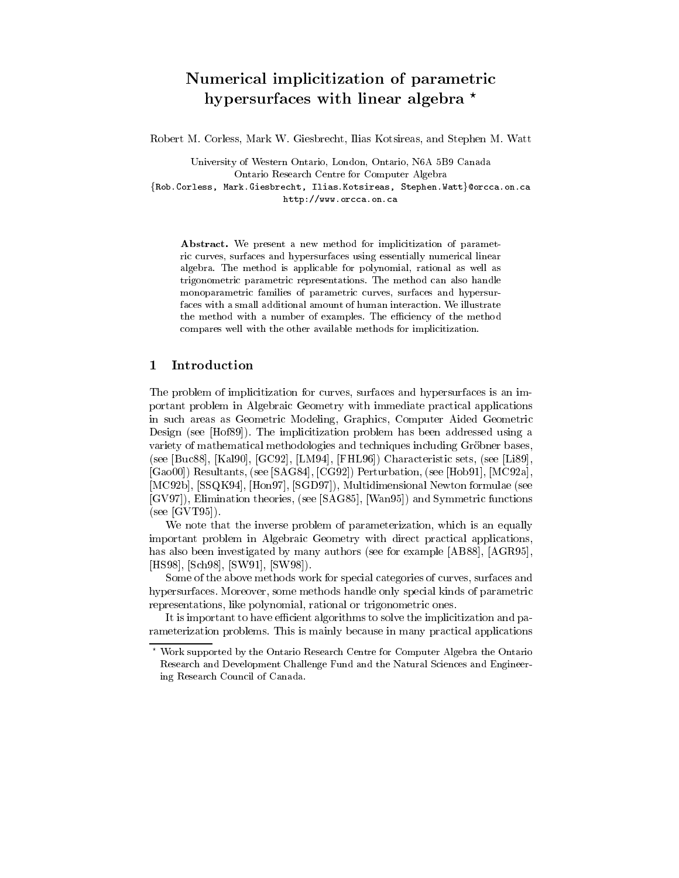# Numerical implicitization of parametric hypersurfaces with linear algebra ?

Robert M. Corless, Mark W. Giesbrecht, Ilias Kotsireas, and Stephen M. Watt

University of Western Ontario, London, Ontario, N6A 5B9 Canada Ontario Research Centre for Computer Algebra {Rob.Corless, Mark.Giesbrecht, Ilias.Kotsireas, Stephen.Watt}@orcca.on.ca http://www.orcca.on.ca

Abstract. We present a new method for implicitization of parametric curves, surfaces and hypersurfaces using essentially numerical linear algebra. The method is applicable for polynomial, rational as well as trigonometric parametric representations. The method can also handle monoparametric families of parametric curves, surfaces and hypersurfaces with a small additional amount of human interaction. We illustrate the method with a number of examples. The efficiency of the method compares well with the other available methods for implicitization.

# 1 Introduction

The problem of implicitization for curves, surfaces and hypersurfaces is an important problem in Algebraic Geometry with immediate practical applications in such areas as Geometric Modeling, Graphics, Computer Aided Geometric Design (see [Hof89]). The implicitization problem has been addressed using a variety of mathematical methodologies and techniques including Gröbner bases, (see [Buc88], [Kal90], [GC92], [LM94], [FHL96]) Characteristic sets, (see [Li89], [Gao00]) Resultants, (see [SAG84], [CG92]) Perturbation, (see [Hob91], [MC92a], [MC92b], [SSQK94], [Hon97], [SGD97]), Multidimensional Newton formulae (see [GV97]), Elimination theories, (see [SAG85], [Wan95]) and Symmetric functions (see [GVT95]).

We note that the inverse problem of parameterization, which is an equally important problem in Algebraic Geometry with direct practical applications, has also been investigated by many authors (see for example [AB88], [AGR95], [HS98], [Sch98], [SW91], [SW98]).

Some of the above methods work for special categories of curves, surfaces and hypersurfaces. Moreover, some methods handle only special kinds of parametric representations, like polynomial, rational or trigonometric ones.

It is important to have efficient algorithms to solve the implicitization and parameterization problems. This is mainly because in many practical applications

<sup>?</sup> Work supported by the Ontario Research Centre for Computer Algebra the Ontario Research and Development Challenge Fund and the Natural Sciences and Engineering Research Council of Canada.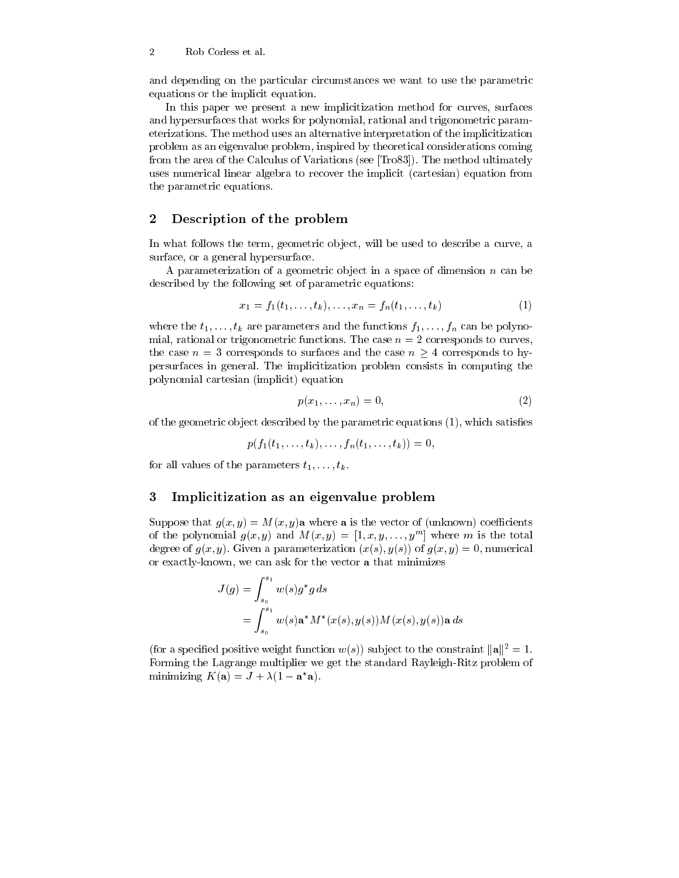and depending on the particular circumstances we want to use the parametric equations or the implicit equation.

In this paper we present a new implicitization method for curves, surfaces and hypersurfaces that works for polynomial, rational and trigonometric parameterizations. The method uses an alternative interpretation of the implicitization problem as an eigenvalue problem, inspired by theoretical considerations coming from the area of the Calculus of Variations (see [Tro83]). The method ultimately uses numerical linear algebra to recover the implicit (cartesian) equation from the parametric equations.

### 2 Description of the problem

In what follows the term, geometric object, will be used to describe a curve, a surface, or a general hypersurface.

A parameterization of a geometric object in a space of dimension  $n$  can be described by the following set of parametric equations:

$$
x_1 = f_1(t_1, \dots, t_k), \dots, x_n = f_n(t_1, \dots, t_k)
$$
 (1)

where the  $t_1,\ldots,t_k$  are parameters and the functions  $f_1,\ldots,f_n$  can be polynomial, rational or trigonometric functions. The case  $n = 2$  corresponds to curves, the case  $n = 3$  corresponds to surfaces and the case  $n \geq 4$  corresponds to hypersurfaces in general. The implicitization problem consists in computing the polynomial cartesian (implicit) equation

$$
p(x_1, \ldots, x_n) = 0,\t\t(2)
$$

of the geometric ob ject described by the parametric equations (1), which satises

$$
p(f_1(t_1,\ldots,t_k),\ldots,f_n(t_1,\ldots,t_k))=0,
$$

for all values of the parameters  $t_1,\ldots,t_k$ .

#### 3 Implicitization as an eigenvalue problem

Suppose that  $g(x, y) = M(x, y)$  where a is the vector of (unknown) coefficients of the polynomial  $g(x, y)$  and  $M(x, y) = [1, x, y, \ldots, y^m]$  where m is the total degree of  $g(x, y)$ . Given a parameterization  $(x(s), y(s))$  of  $g(x, y) = 0$ , numerical or exactly-known, we can ask for the vector <sup>a</sup> that minimizes

$$
J(g) = \int_{s_0}^{s_1} w(s)g^*g ds
$$
  
= 
$$
\int_{s_0}^{s_1} w(s) \mathbf{a}^* M^*(x(s), y(s)) M(x(s), y(s)) \mathbf{a} ds
$$

(for a specified positive weight function  $w(s)$ ) subject to the constraint  $\|\mathbf{a}\|^2 = 1$ . Forming the Lagrange multiplier we get the standard Rayleigh-Ritz problem of minimizing  $K(\mathbf{a}) = J + \lambda(1 - \mathbf{a}^*\mathbf{a}).$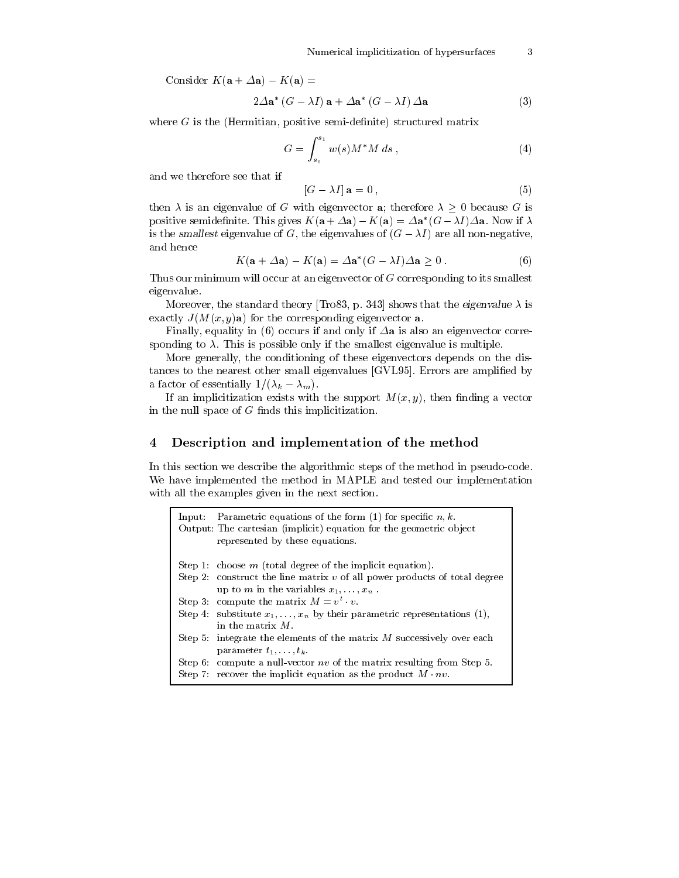Consider  $K(\mathbf{a} + \Delta \mathbf{a}) - K(\mathbf{a}) =$ 

$$
2\Delta \mathbf{a}^* (G - \lambda I) \mathbf{a} + \Delta \mathbf{a}^* (G - \lambda I) \Delta \mathbf{a}
$$
 (3)

where  $G$  is the (Hermitian, positive semi-definite) structured matrix

$$
G = \int_{s_0}^{s_1} w(s) M^* M ds , \qquad (4)
$$

and we therefore see that if

$$
[G - \lambda I] \mathbf{a} = 0, \qquad (5)
$$

then  $\lambda$  is an eigenvalue of G with eigenvector **a**; therefore  $\lambda \geq 0$  because G is positive semidelimite. This gives  $K(a + \Delta a) - K(a) = \Delta a$  ( $G - \Delta I$ )  $\Delta a$ . Now if  $\Delta$ is the smallest eigenvalue of G, the eigenvalues of  $(G - \lambda I)$  are all non-negative, and hence

$$
K(\mathbf{a} + \Delta \mathbf{a}) - K(\mathbf{a}) = \Delta \mathbf{a}^*(G - \lambda I) \Delta \mathbf{a} \ge 0.
$$
 (6)

Thus our minimum will occur at an eigenvector of <sup>G</sup> corresponding to its smallest eigenvalue.

Moreover, the standard theory [Tro83, p. 343] shows that the eigenvalue  $\lambda$  is exactly  $J(M(x, y)\mathbf{a})$  for the corresponding eigenvector **a**.

Finally, equality in (6) occurs if and only if  $\Delta a$  is also an eigenvector corresponding to  $\lambda$ . This is possible only if the smallest eigenvalue is multiple.

More generally, the conditioning of these eigenvectors depends on the distances to the nearest other small eigenvalues [GVL95]. Errors are amplified by a factor of essentially  $1/(\lambda_k - \lambda_m)$ .

If an implicitization exists with the support  $M(x, y)$ , then finding a vector in the null space of  $G$  finds this implicitization.

#### 4 Description and implementation of the method

In this section we describe the algorithmic steps of the method in pseudo-code. We have implemented the method in MAPLE and tested our implementation with all the examples given in the next section.

| Input: | Parametric equations of the form (1) for specific $n, k$ .                     |  |
|--------|--------------------------------------------------------------------------------|--|
|        | Output: The cartesian (implicit) equation for the geometric object             |  |
|        | represented by these equations.                                                |  |
|        |                                                                                |  |
|        | Step 1: choose m (total degree of the implicit equation).                      |  |
|        | Step 2: construct the line matrix $v$ of all power products of total degree    |  |
|        | up to m in the variables $x_1, \ldots, x_n$ .                                  |  |
|        | Step 3: compute the matrix $M = v^t \cdot v$ .                                 |  |
|        | Step 4: substitute $x_1, \ldots, x_n$ by their parametric representations (1), |  |
|        | in the matrix $M$ .                                                            |  |
|        | Step 5: integrate the elements of the matrix M successively over each          |  |
|        | parameter $t_1, \ldots, t_k$ .                                                 |  |
|        | Step 6: compute a null-vector $nv$ of the matrix resulting from Step 5.        |  |
|        | Step 7: recover the implicit equation as the product $M$ <i>nv</i> .           |  |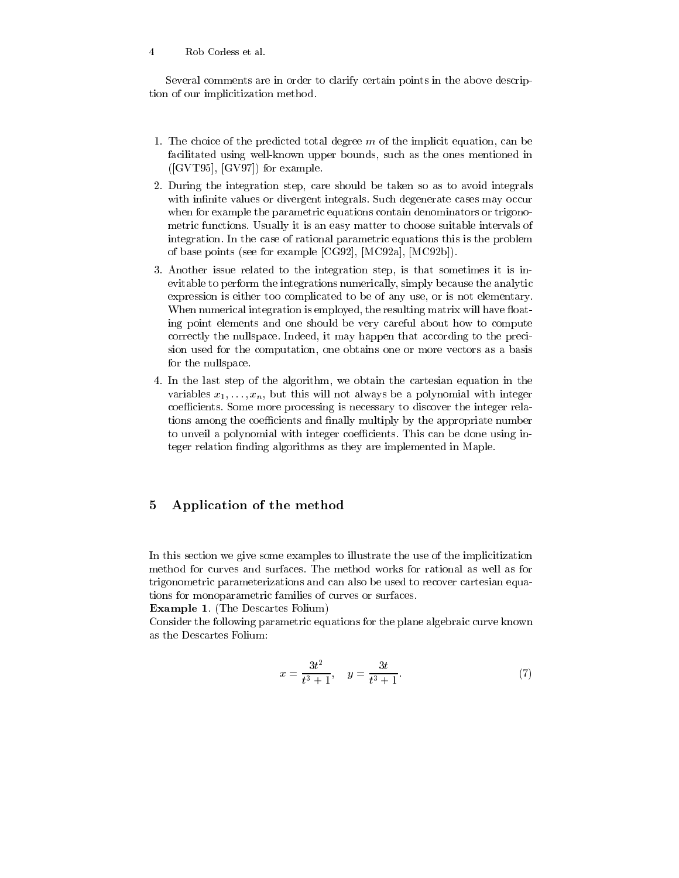Several comments are in order to clarify certain points in the above description of our implicitization method.

- 1. The choice of the predicted total degree  $m$  of the implicit equation, can be facilitated using well-known upper bounds, such as the ones mentioned in  $([GVT95], [GV97])$  for example.
- 2. During the integration step, care should be taken so as to avoid integrals with infinite values or divergent integrals. Such degenerate cases may occur when for example the parametric equations contain denominators or trigonometric functions. Usually it is an easy matter to choose suitable intervals of integration. In the case of rational parametric equations this is the problem of base points (see for example [CG92], [MC92a], [MC92b]).
- 3. Another issue related to the integration step, is that sometimes it is inevitable to perform the integrations numerically, simply because the analytic expression is either too complicated to be of any use, or is not elementary. When numerical integration is employed, the resulting matrix will have floating point elements and one should be very careful about how to compute correctly the nullspace. Indeed, it may happen that according to the precision used for the computation, one obtains one or more vectors as a basis for the nullspace.
- 4. In the last step of the algorithm, we obtain the cartesian equation in the variables  $x_1, \ldots, x_n$ , but this will not always be a polynomial with integer coefficients. Some more processing is necessary to discover the integer relations among the coefficients and finally multiply by the appropriate number to unveil a polynomial with integer coefficients. This can be done using integer relation finding algorithms as they are implemented in Maple.

## 5 Application of the method

In this section we give some examples to illustrate the use of the implicitization method for curves and surfaces. The method works for rational as well as for trigonometric parameterizations and can also be used to recover cartesian equations for monoparametric families of curves or surfaces.

Example 1. (The Descartes Folium)

Consider the following parametric equations for the plane algebraic curve known as the Descartes Folium:

$$
x = \frac{3t^2}{t^3 + 1}, \quad y = \frac{3t}{t^3 + 1}.
$$
 (7)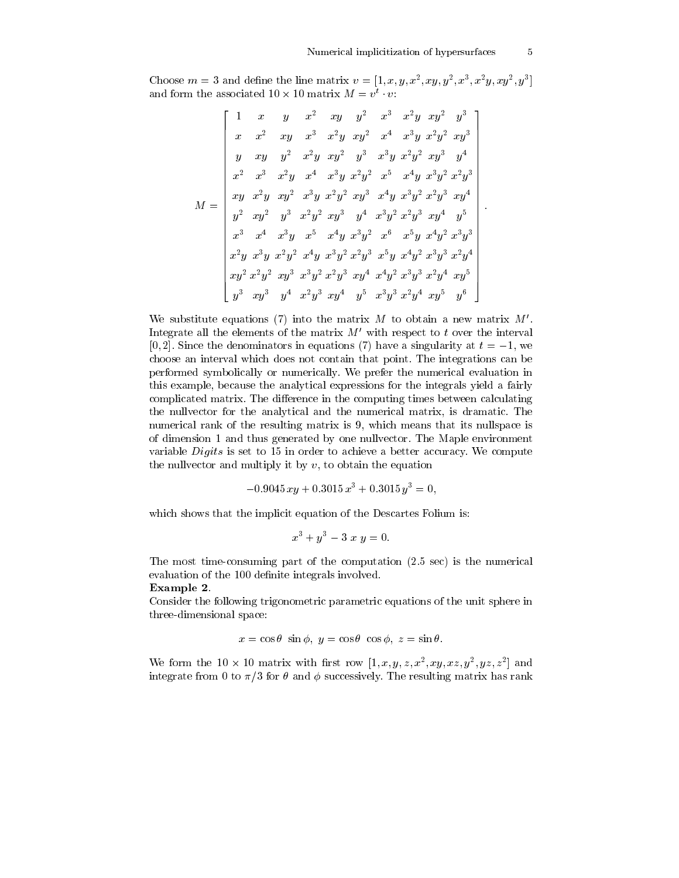Choose  $m = 3$  and denne the line matrix  $v = [1, x, y, x^2, xy, y^2, x^2, x^2, xy, xy^2, y^2]$ and form the associated TO  $\times$  TO matrix  $M = v + v$ :

$$
M = \begin{bmatrix} 1 & x & y & x^2 & xy & y^2 & x^3 & x^2y & xy^2 & y^3 \\ x & x^2 & xy & x^3 & x^2y & xy^2 & x^4 & x^3y & x^2y^2 & xy^3 \\ y & xy & y^2 & x^2y & xy^2 & y^3 & x^3y & x^2y^2 & xy^3 & y^4 \\ x^2 & x^3 & x^2y & x^4 & x^3y & x^2y^2 & x^5 & x^4y & x^3y^2 & x^2y^3 \\ xy & x^2y & xy^2 & x^3y & x^2y^2 & xy^3 & x^4y & x^3y^2 & x^2y^3 & xy^4 \\ y^2 & xy^2 & y^3 & x^2y^2 & xy^3 & y^4 & x^3y^2 & x^2y^3 & xy^4 & y^5 \\ x^3 & x^4 & x^3y & x^5 & x^4y & x^3y^2 & x^6 & x^5y & x^4y^2 & x^3y^3 \\ x^2y & x^3y & x^2y^2 & x^4y & x^3y^2 & x^2y^3 & x^5y & x^4y^2 & x^3y^3 & x^2y^4 \\ xy^2 & x^2y^2 & xy^3 & x^3y^2 & x^2y^3 & xy^4 & x^4y^2 & x^3y^3 & x^2y^4 & xy^5 \\ y^3 & xy^3 & y^4 & x^2y^3 & xy^4 & y^5 & x^3y^3 & x^2y^4 & xy^5 & y^6 \end{bmatrix}
$$

We substitute equations (7) into the matrix  $M$  to obtain a new matrix  $M'$ . Integrate all the elements of the matrix  $M'$  with respect to t over the interval [0, 2]. Since the denominators in equations (7) have a singularity at  $t = -1$ , we choose an interval which does not contain that point. The integrations can be performed symbolically or numerically. We prefer the numerical evaluation in this example, because the analytical expressions for the integrals yield a fairly complicated matrix. The difference in the computing times between calculating the nullvector for the analytical and the numerical matrix, is dramatic. The numerical rank of the resulting matrix is 9, which means that its nullspace is of dimension 1 and thus generated by one nullvector. The Maple environment variable Digits is set to 15 in order to achieve a better accuracy. We compute the nullvector and multiply it by  $v$ , to obtain the equation

$$
-0.9045 xy + 0.3015 x3 + 0.3015 y3 = 0,
$$

which shows that the implicit equation of the Descartes Folium is:

$$
x^3 + y^3 - 3 x y = 0.
$$

The most time-consuming part of the computation (2.5 sec) is the numerical evaluation of the 100 definite integrals involved.

Example 2.

Consider the following trigonometric parametric equations of the unit sphere in three-dimensional space:

$$
x = \cos \theta \sin \phi, \ y = \cos \theta \cos \phi, \ z = \sin \theta.
$$

We form the TO  $\times$  TO matrix with first row  $[1, x, y, z, x, xy, xz, y, yz, z]$  and integrate from 0 to  $\pi/3$  for  $\theta$  and  $\phi$  successively. The resulting matrix has rank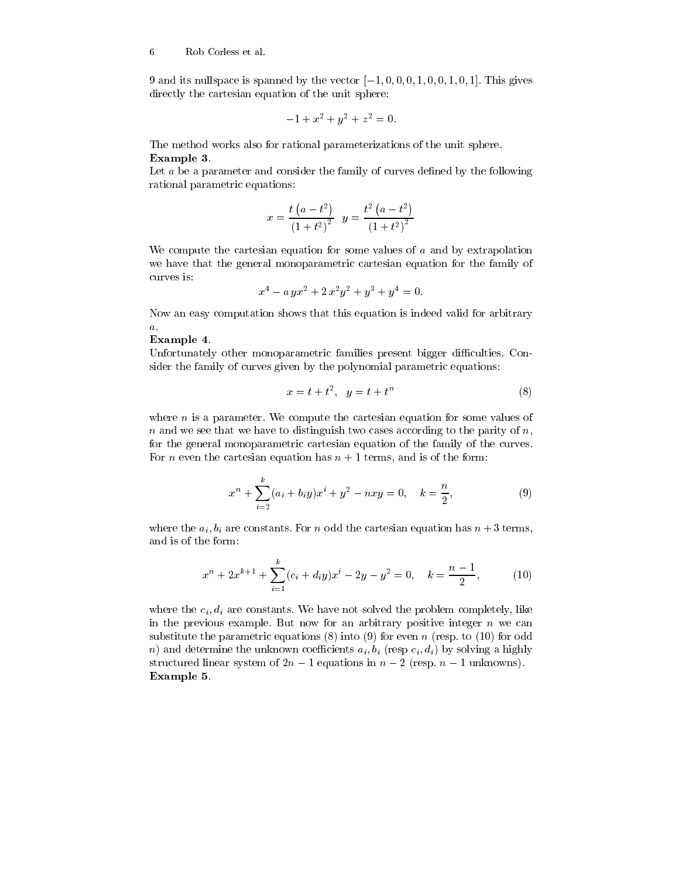9 and its nullspace is spanned by the vector  $[-1, 0, 0, 0, 1, 0, 0, 1, 0, 1]$ . This gives directly the cartesian equation of the unit sphere:

$$
-1 + x^2 + y^2 + z^2 = 0.
$$

The method works also for rational parameterizations of the unit sphere. Example 3.

Let  $a$  be a parameter and consider the family of curves defined by the following rational parametric equations:

$$
x = \frac{t (a - t^2)}{(1 + t^2)^2} \quad y = \frac{t^2 (a - t^2)}{(1 + t^2)^2}
$$

We compute the cartesian equation for some values of  $a$  and by extrapolation we have that the general monoparametric cartesian equation for the family of curves is:

$$
x^4 - a y x^2 + 2 x^2 y^2 + y^3 + y^4 = 0.
$$

Now an easy computation shows that this equation is indeed valid for arbitrary a.

#### Example 4.

Unfortunately other monoparametric families present bigger difficulties. Consider the family of curves given by the polynomial parametric equations:

$$
x = t + t^2, \quad y = t + t^n \tag{8}
$$

where  $n$  is a parameter. We compute the cartesian equation for some values of n and we see that we have to distinguish two cases according to the parity of  $\alpha$ , for the general monoparametric cartesian equation of the family of the curves. For *n* even the cartesian equation has  $n + 1$  terms, and is of the form:

$$
x^{n} + \sum_{i=2}^{k} (a_{i} + b_{i}y)x^{i} + y^{2} - nxy = 0, \quad k = \frac{n}{2},
$$
\n(9)

where the  $a_i, b_i$  are constants. For n odd the cartesian equation has  $n + 3$  terms, and is of the form:

$$
x^{n} + 2x^{k+1} + \sum_{i=1}^{k} (c_{i} + d_{i}y)x^{i} - 2y - y^{2} = 0, \quad k = \frac{n-1}{2},
$$
 (10)

where the  $c_i, d_i$  are constants. We have not solved the problem completely, like in the previous example. But now for an arbitrary positive integer  $n$  we can substitute the parametric equations  $(8)$  into  $(9)$  for even n (resp. to  $(10)$  for odd n) and determine the unknown coefficients  $a_i, b_i$  (resp  $c_i, d_i$ ) by solving a highly structured linear system of  $2n - 1$  equations in  $n - 2$  (resp.  $n - 1$  unknowns). Example 5.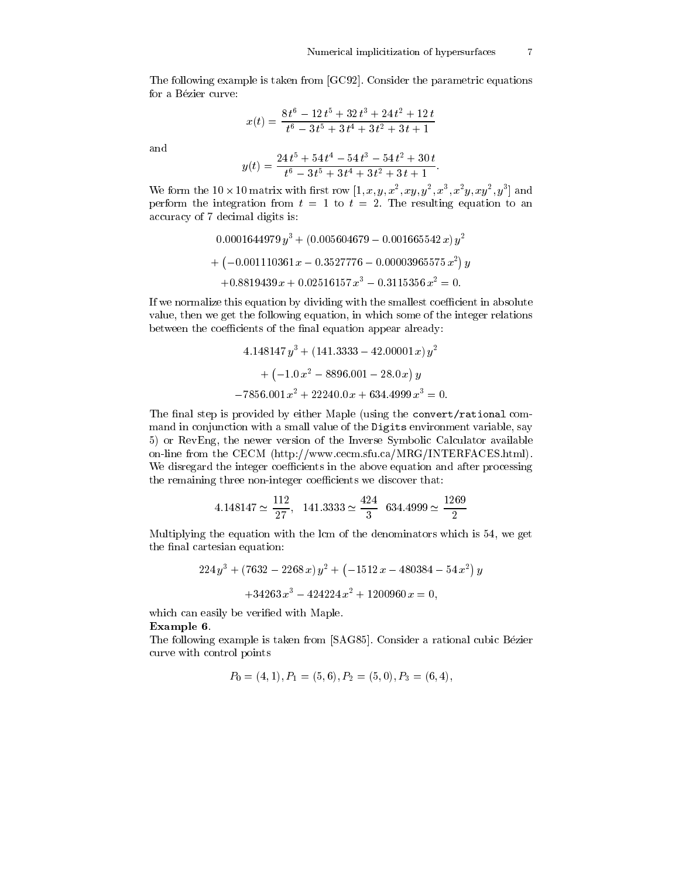:

The following example is taken from [GC92]. Consider the parametric equations for a Bézier curve:

$$
x(t) = \frac{8 t^6 - 12 t^5 + 32 t^3 + 24 t^2 + 12 t}{t^6 - 3 t^5 + 3 t^4 + 3 t^2 + 3 t + 1}
$$

and

$$
y(t) = \frac{24 t^5 + 54 t^4 - 54 t^3 - 54 t^2 + 30 t}{t^6 - 3 t^5 + 3 t^4 + 3 t^2 + 3 t + 1}.
$$

We form the TU  $\times$  TO matrix with first row  $\ket{1,x,y,x^2,x^2,y,y^2,x^2,y^2,y^2,y^2}$  and perform the integration from  $t = 1$  to  $t = 2$ . The resulting equation to an accuracy of 7 decimal digits is:

> $0.0001$ 044979  $y^ +$  (0.005004079  $-$  0.001005542  $x$ )  $y^ +(-0.001110361 x - 0.3527776 - 0.00003965575 x^2) y$  $+0.8819439 x + 0.02516157 x^3 - 0.3115356 x^2 = 0.$

If we normalize this equation by dividing with the smallest coefficient in absolute value, then we get the following equation, in which some of the integer relations between the coefficients of the final equation appear already:

$$
4.148147 y3 + (141.3333 - 42.00001 x) y2
$$

$$
+ (-1.0 x2 - 8896.001 - 28.0 x) y
$$

$$
-7856.001 x2 + 22240.0 x + 634.4999 x3 = 0.
$$

The final step is provided by either Maple (using the convert/rational command in conjunction with a small value of the Digits environment variable, say 5) or RevEng, the newer version of the Inverse Symbolic Calculator available on-line from the CECM (http://www.cecm.sfu.ca/MRG/INTERFACES.html). We disregard the integer coefficients in the above equation and after processing the remaining three non-integer coefficients we discover that:

$$
4.148147 \simeq \frac{112}{27}, \quad 141.3333 \simeq \frac{424}{3} \quad 634.4999 \simeq \frac{1269}{2}
$$

Multiplying the equation with the lcm of the denominators which is 54, we get the final cartesian equation:

$$
224 y3 + (7632 - 2268 x) y2 + (-1512 x - 480384 - 54 x2) y
$$
  
+34263 x<sup>3</sup> - 424224 x<sup>2</sup> + 1200960 x = 0.

which can easily be verified with Maple.

#### Example 6.

The following example is taken from [SAG85]. Consider a rational cubic Bezier curve with control points

$$
P_0 = (4, 1), P_1 = (5, 6), P_2 = (5, 0), P_3 = (6, 4),
$$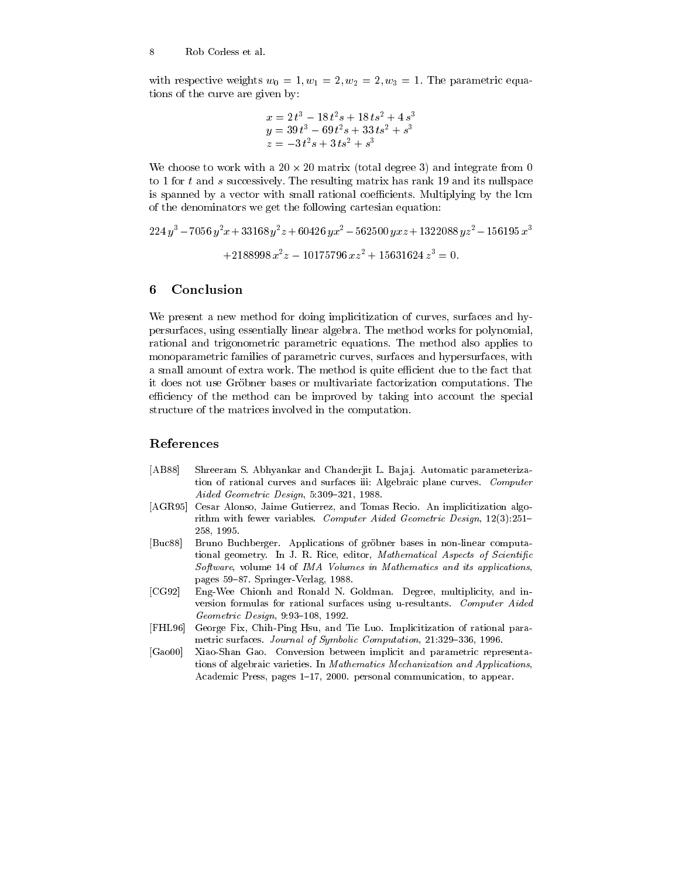with respective weights  $w_0 = 1, w_1 = 2, w_2 = 2, w_3 = 1$ . The parametric equations of the curve are given by:

$$
x = 2t3 - 18t2s + 18ts2 + 4s3
$$
  
\n
$$
y = 39t3 - 69t2s + 33ts2 + s3
$$
  
\n
$$
z = -3t2s + 3ts2 + s3
$$

with a 20 matrix (total degree  $\alpha$  ) and  $\alpha$  -contribution from  $\alpha$  and  $\alpha$  and  $\alpha$  and  $\alpha$  -contribution of  $\alpha$ to 1 for t and s successively. The resulting matrix has rank 19 and its nullspace is spanned by a vector with small rational coefficients. Multiplying by the lcm of the denominators we get the following cartesian equation:

$$
224 y3 - 7056 y2 x + 33168 y2 z + 60426 y x2 - 562500 y x z + 1322088 y z2 - 156195 x3
$$
  
+2188998 x<sup>2</sup> z - 10175796 x z<sup>2</sup> + 15631624 z<sup>3</sup> = 0.

## 6 Conclusion

We present a new method for doing implicitization of curves, surfaces and hypersurfaces, using essentially linear algebra. The method works for polynomial, rational and trigonometric parametric equations. The method also applies to monoparametric families of parametric curves, surfaces and hypersurfaces, with a small amount of extra work. The method is quite efficient due to the fact that it does not use Grobner bases or multivariate factorization computations. The efficiency of the method can be improved by taking into account the special structure of the matrices involved in the computation.

#### References

- [AB88] Shreeram S. Abhyankar and Chanderjit L. Bajaj. Automatic parameterization of rational curves and surfaces iii: Algebraic plane curves. Computer Aided Geometric Design, 5:309-321, 1988.
- [AGR95] Cesar Alonso, Jaime Gutierrez, and Tomas Recio. An implicitization algorithm with fewer variables. Computer Aided Geometric Design, 12(3):251-258, 1995.
- [Buc88] Bruno Buchberger. Applications of grobner bases in non-linear computational geometry. In J. R. Rice, editor, Mathematical Aspects of Scientific Software, volume 14 of IMA Volumes in Mathematics and its applications, pages 59-87. Springer-Verlag, 1988.
- [CG92] Eng-Wee Chionh and Ronald N. Goldman. Degree, multiplicity, and in-version formulas for rational surfaces using u-resultants. Computer Aided Geometric Design, 9:93-108, 1992.
- [FHL96] George Fix, Chih-Ping Hsu, and Tie Luo. Implicitization of rational parametric surfaces. Journal of Symbolic Computation, 21:329-336, 1996.
- [Gao00] Xiao-Shan Gao. Conversion between implicit and parametric representations of algebraic varieties. In Mathematics Mechanization and Applications, Academic Press, pages 1-17, 2000. personal communication, to appear.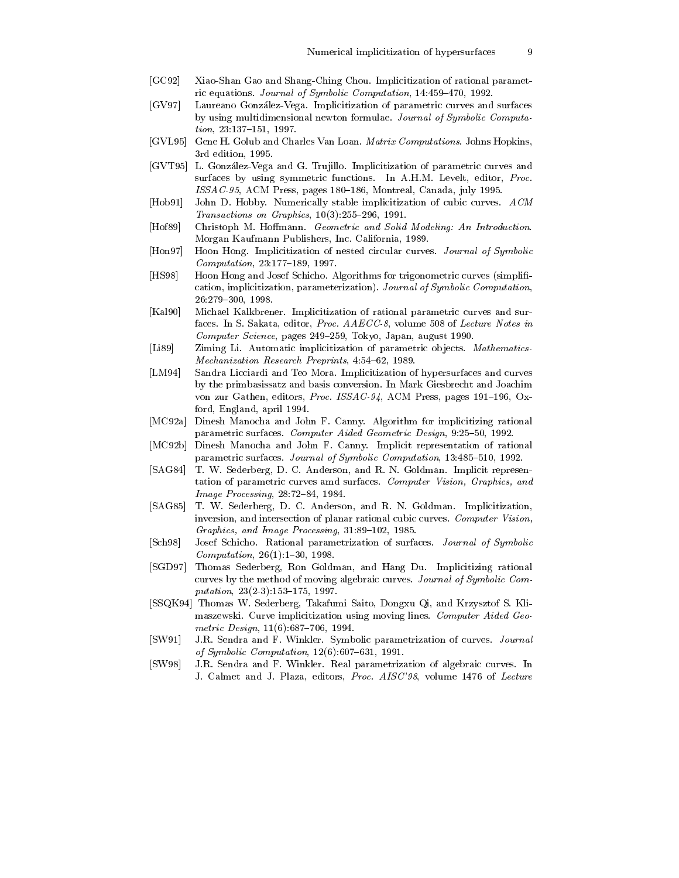- [GC92] Xiao-Shan Gao and Shang-Ching Chou. Implicitization of rational parametric equations. Journal of Symbolic Computation,  $14:459-470$ ,  $1992$ .
- [GV97] Laureano Gonzalez-Vega. Implicitization of parametric curves and surfaces by using multidimensional newton formulae. Journal of Symbolic Computa $tion, 23:137-151, 1997.$
- [GVL95] Gene H. Golub and Charles Van Loan. Matrix Computations. Johns Hopkins, 3rd edition, 1995.
- [GVT95] L. Gonzalez-Vega and G. Trujillo. Implicitization of parametric curves and surfaces by using symmetric functions. In A.H.M. Levelt, editor, Proc.  $ISSAC-95$ , ACM Press, pages 180-186, Montreal, Canada, july 1995.
- [Hob91] John D. Hobby. Numerically stable implicitization of cubic curves. ACM Transactions on Graphics,  $10(3):255-296$ , 1991.
- [Hof89] Christoph M. Hoffmann. *Geometric and Solid Modeling: An Introduction*. Morgan Kaufmann Publishers, Inc. California, 1989.
- [Hon97] Hoon Hong. Implicitization of nested circular curves. Journal of Symbolic  $Computation, 23:177–189, 1997.$
- [HS98] Hoon Hong and Josef Schicho. Algorithms for trigonometric curves (simpli cation, implicitization, parameterization). Journal of Symbolic Computation, 26:279-300, 1998.
- [Kal90] Michael Kalkbrener. Implicitization of rational parametric curves and surfaces. In S. Sakata, editor, Proc.  $AAECC-8$ , volume 508 of Lecture Notes in Computer Science, pages 249-259, Tokyo, Japan, august 1990.
- [Li89] Ziming Li. Automatic implicitization of parametric objects. Mathematics-Mechanization Research Preprints, 4:54-62, 1989.
- [LM94] Sandra Licciardi and Teo Mora. Implicitization of hypersurfaces and curves by the primbasissatz and basis conversion. In Mark Giesbrecht and Joachim von zur Gathen, editors, Proc. ISSAC-94, ACM Press, pages 191-196, Oxford, England, april 1994.
- [MC92a] Dinesh Manocha and John F. Canny. Algorithm for implicitizing rational parametric surfaces. Computer Aided Geometric Design, 9:25-50, 1992.
- [MC92b] Dinesh Manocha and John F. Canny. Implicit representation of rational parametric surfaces. Journal of Symbolic Computation, 13:485-510, 1992.
- [SAG84] T. W. Sederberg, D. C. Anderson, and R. N. Goldman. Implicit representation of parametric curves amd surfaces. Computer Vision, Graphics, and Image Processing, 28:72-84, 1984.
- [SAG85] T. W. Sederberg, D. C. Anderson, and R. N. Goldman. Implicitization, inversion, and intersection of planar rational cubic curves. Computer Vision, Graphics, and Image Processing, 31:89-102, 1985.
- [Sch98] Josef Schicho. Rational parametrization of surfaces. Journal of Symbolic  $Computation, 26(1):1-30, 1998.$
- [SGD97] Thomas Sederberg, Ron Goldman, and Hang Du. Implicitizing rational curves by the method of moving algebraic curves. Journal of Symbolic Com $p$ *utation*,  $23(2-3):153-175$ , 1997.
- [SSQK94] Thomas W. Sederberg, Takafumi Saito, Dongxu Qi, and Krzysztof S. Klimaszewski. Curve implicitization using moving lines. Computer Aided Geo metric Design,  $11(6):687-706$ , 1994.
- [SW91] J.R. Sendra and F. Winkler. Symbolic parametrization of curves. Journal of Symbolic Computation,  $12(6):607{-}631$ , 1991.
- [SW98] J.R. Sendra and F. Winkler. Real parametrization of algebraic curves. In J. Calmet and J. Plaza, editors, Proc. AISC'98, volume 1476 of Lecture